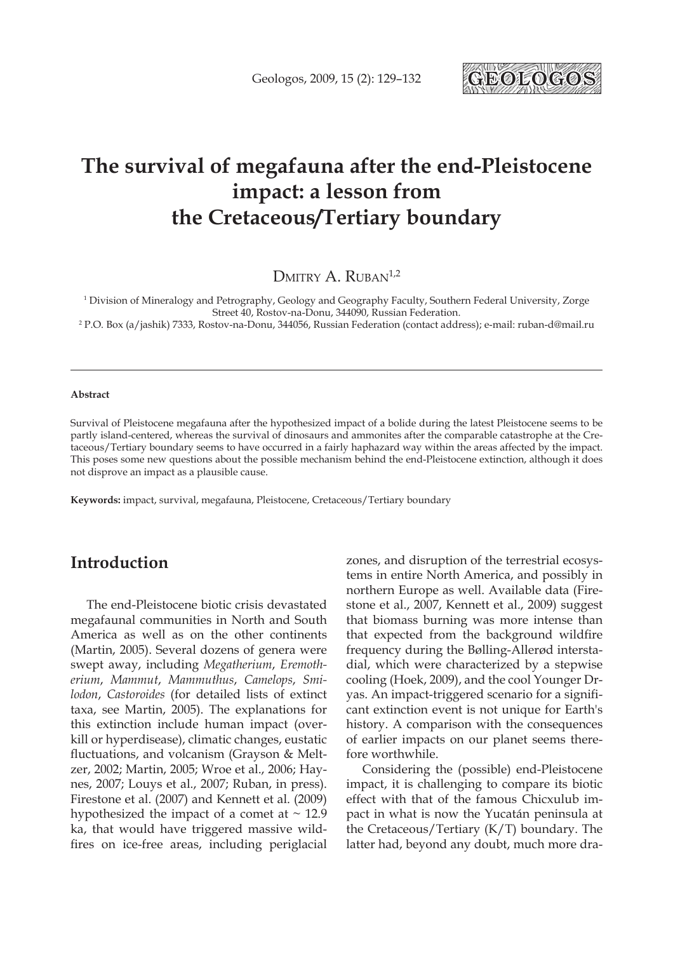

# **The survival of megafauna after the end-Pleistocene impact: a lesson from the Cretaceous/Tertiary boundary**

DMITRY A. RUBAN<sup>1,2</sup>

1 Division of Mineralogy and Petrography, Geology and Geography Faculty, Southern Federal University, Zorge Street 40, Rostov-na-Donu, 344090, Russian Federation.

2 P.O. Box (a/jashik) 7333, Rostov-na-Donu, 344056, Russian Federation (contact address); e-mail: ruban-d@mail.ru

#### **Abstract**

Survival of Pleistocene megafauna after the hypothesized impact of a bolide during the latest Pleistocene seems to be partly island-centered, whereas the survival of dinosaurs and ammonites after the comparable catastrophe at the Cretaceous/Tertiary boundary seems to have occurred in a fairly haphazard way within the areas affected by the impact. This poses some new questions about the possible mechanism behind the end-Pleistocene extinction, although it does not disprove an impact as a plausible cause.

**Keywords:** impact, survival, megafauna, Pleistocene, Cretaceous/Tertiary boundary

### **Introduction**

The end-Pleistocene biotic crisis devastated megafaunal communities in North and South America as well as on the other continents (Martin, 2005). Several dozens of genera were swept away, including *Megatherium*, *Eremotherium*, *Mammut*, *Mammuthus*, *Camelops*, *Smilodon*, *Castoroides* (for detailed lists of extinct taxa, see Martin, 2005). The explanations for this extinction include human impact (overkill or hyperdisease), climatic changes, eustatic fluctuations, and volcanism (Grayson & Meltzer, 2002; Martin, 2005; Wroe et al., 2006; Haynes, 2007; Louys et al., 2007; Ruban, in press). Firestone et al. (2007) and Kennett et al. (2009) hypothesized the impact of a comet at  $\sim$  12.9 ka, that would have triggered massive wildfires on ice-free areas, including periglacial zones, and disruption of the terrestrial ecosystems in entire North America, and possibly in northern Europe as well. Available data (Firestone et al., 2007, Kennett et al., 2009) suggest that biomass burning was more intense than that expected from the background wildfire frequency during the Bølling-Allerød interstadial, which were characterized by a stepwise cooling (Hoek, 2009), and the cool Younger Dryas. An impact-triggered scenario for a significant extinction event is not unique for Earth's history. A comparison with the consequences of earlier impacts on our planet seems therefore worthwhile.

Considering the (possible) end-Pleistocene impact, it is challenging to compare its biotic effect with that of the famous Chicxulub impact in what is now the Yucatán peninsula at the Cretaceous/Tertiary (K/T) boundary. The latter had, beyond any doubt, much more dra-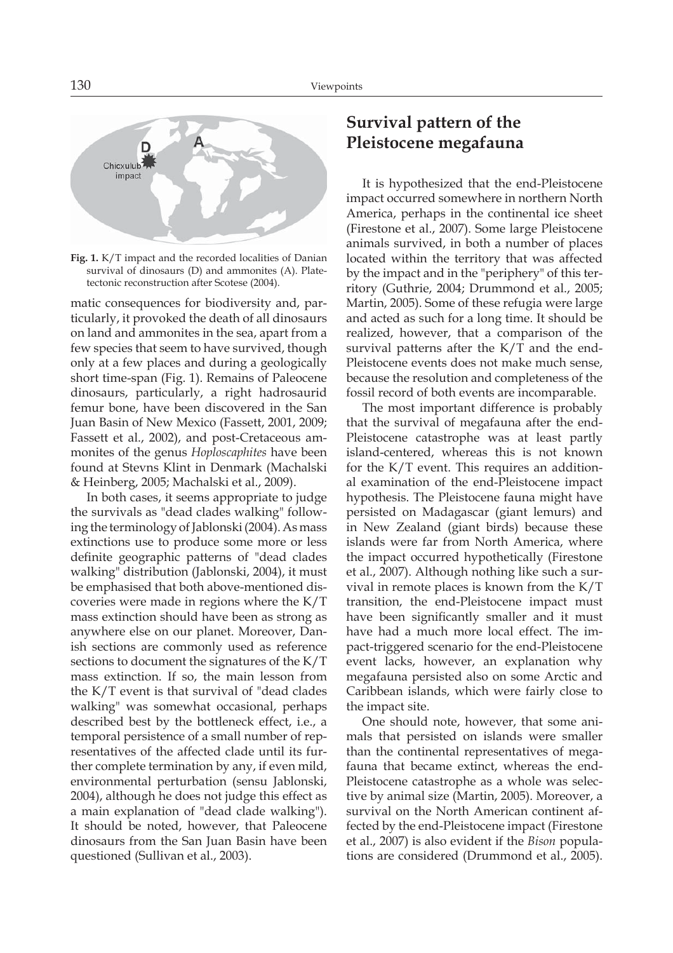

**Fig. 1.** K/T impact and the recorded localities of Danian survival of dinosaurs (D) and ammonites (A). Platetectonic reconstruction after Scotese (2004).

matic consequences for biodiversity and, particularly, it provoked the death of all dinosaurs on land and ammonites in the sea, apart from a few species that seem to have survived, though only at a few places and during a geologically short time-span (Fig. 1). Remains of Paleocene dinosaurs, particularly, a right hadrosaurid femur bone, have been discovered in the San Juan Basin of New Mexico (Fassett, 2001, 2009; Fassett et al., 2002), and post-Cretaceous ammonites of the genus *Hoploscaphites* have been found at Stevns Klint in Denmark (Machalski & Heinberg, 2005; Machalski et al., 2009).

In both cases, it seems appropriate to judge the survivals as "dead clades walking" following the terminology of Jablonski (2004). As mass extinctions use to produce some more or less definite geographic patterns of "dead clades walking" distribution (Jablonski, 2004), it must be emphasised that both above-mentioned discoveries were made in regions where the K/T mass extinction should have been as strong as anywhere else on our planet. Moreover, Danish sections are commonly used as reference sections to document the signatures of the K/T mass extinction. If so, the main lesson from the K/T event is that survival of "dead clades walking" was somewhat occasional, perhaps described best by the bottleneck effect, i.e., a temporal persistence of a small number of representatives of the affected clade until its further complete termination by any, if even mild, environmental perturbation (sensu Jablonski, 2004), although he does not judge this effect as a main explanation of "dead clade walking"). It should be noted, however, that Paleocene dinosaurs from the San Juan Basin have been questioned (Sullivan et al., 2003).

# **Survival pattern of the Pleistocene megafauna**

It is hypothesized that the end-Pleistocene impact occurred somewhere in northern North America, perhaps in the continental ice sheet (Firestone et al., 2007). Some large Pleistocene animals survived, in both a number of places located within the territory that was affected by the impact and in the "periphery" of this territory (Guthrie, 2004; Drummond et al., 2005; Martin, 2005). Some of these refugia were large and acted as such for a long time. It should be realized, however, that a comparison of the survival patterns after the K/T and the end-Pleistocene events does not make much sense, because the resolution and completeness of the fossil record of both events are incomparable.

The most important difference is probably that the survival of megafauna after the end-Pleistocene catastrophe was at least partly island-centered, whereas this is not known for the K/T event. This requires an additional examination of the end-Pleistocene impact hypothesis. The Pleistocene fauna might have persisted on Madagascar (giant lemurs) and in New Zealand (giant birds) because these islands were far from North America, where the impact occurred hypothetically (Firestone et al., 2007). Although nothing like such a survival in remote places is known from the K/T transition, the end-Pleistocene impact must have been significantly smaller and it must have had a much more local effect. The impact-triggered scenario for the end-Pleistocene event lacks, however, an explanation why megafauna persisted also on some Arctic and Caribbean islands, which were fairly close to the impact site.

One should note, however, that some animals that persisted on islands were smaller than the continental representatives of megafauna that became extinct, whereas the end-Pleistocene catastrophe as a whole was selective by animal size (Martin, 2005). Moreover, a survival on the North American continent affected by the end-Pleistocene impact (Firestone et al., 2007) is also evident if the *Bison* populations are considered (Drummond et al., 2005).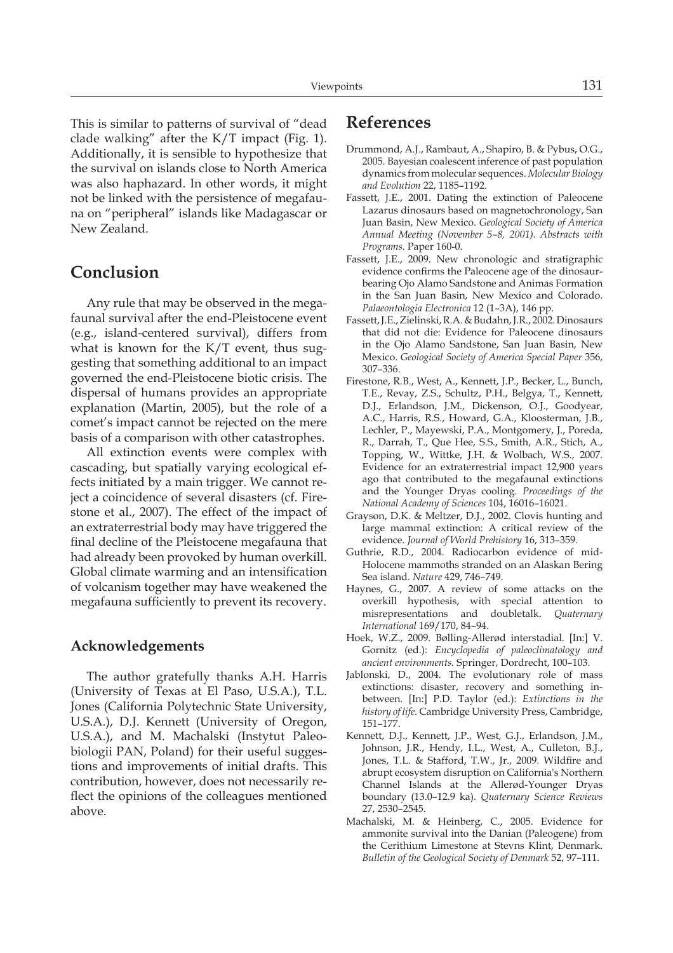This is similar to patterns of survival of "dead clade walking" after the K/T impact (Fig. 1). Additionally, it is sensible to hypothesize that the survival on islands close to North America was also haphazard. In other words, it might not be linked with the persistence of megafauna on "peripheral" islands like Madagascar or New Zealand.

### **Conclusion**

Any rule that may be observed in the megafaunal survival after the end-Pleistocene event (e.g., island-centered survival), differs from what is known for the  $K/T$  event, thus suggesting that something additional to an impact governed the end-Pleistocene biotic crisis. The dispersal of humans provides an appropriate explanation (Martin, 2005), but the role of a comet's impact cannot be rejected on the mere basis of a comparison with other catastrophes.

All extinction events were complex with cascading, but spatially varying ecological effects initiated by a main trigger. We cannot reject a coincidence of several disasters (cf. Firestone et al., 2007). The effect of the impact of an extraterrestrial body may have triggered the final decline of the Pleistocene megafauna that had already been provoked by human overkill. Global climate warming and an intensification of volcanism together may have weakened the megafauna sufficiently to prevent its recovery.

#### **Acknowledgements**

The author gratefully thanks A.H. Harris (University of Texas at El Paso, U.S.A.), T.L. Jones (California Polytechnic State University, U.S.A.), D.J. Kennett (University of Oregon, U.S.A.), and M. Machalski (Instytut Paleobiologii PAN, Poland) for their useful suggestions and improvements of initial drafts. This contribution, however, does not necessarily reflect the opinions of the colleagues mentioned above.

## **References**

- Drummond, A.J., Rambaut, A., Shapiro, B. & Pybus, O.G., 2005. Bayesian coalescent inference of past population dynamics from molecular sequences. *Molecular Biology and Evolution* 22, 1185–1192.
- Fassett, J.E., 2001. Dating the extinction of Paleocene Lazarus dinosaurs based on magnetochronology, San Juan Basin, New Mexico. *Geological Society of America Annual Meeting (November 5–8, 2001). Abstracts with Programs.* Paper 160-0.
- Fassett, J.E., 2009. New chronologic and stratigraphic evidence confirms the Paleocene age of the dinosaurbearing Ojo Alamo Sandstone and Animas Formation in the San Juan Basin, New Mexico and Colorado. *Palaeontologia Electronica* 12 (1–3A), 146 pp.
- Fassett, J.E., Zielinski, R.A. & Budahn, J.R., 2002. Dinosaurs that did not die: Evidence for Paleocene dinosaurs in the Ojo Alamo Sandstone, San Juan Basin, New Mexico. *Geological Society of America Special Paper* 356, 307–336.
- Firestone, R.B., West, A., Kennett, J.P., Becker, L., Bunch, T.E., Revay, Z.S., Schultz, P.H., Belgya, T., Kennett, D.J., Erlandson, J.M., Dickenson, O.J., Goodyear, A.C., Harris, R.S., Howard, G.A., Kloosterman, J.B., Lechler, P., Mayewski, P.A., Montgomery, J., Poreda, R., Darrah, T., Que Hee, S.S., Smith, A.R., Stich, A., Topping, W., Wittke, J.H. & Wolbach, W.S., 2007. Evidence for an extraterrestrial impact 12,900 years ago that contributed to the megafaunal extinctions and the Younger Dryas cooling. *Proceedings of the National Academy of Sciences* 104, 16016–16021.
- Grayson, D.K. & Meltzer, D.J., 2002. Clovis hunting and large mammal extinction: A critical review of the evidence. *Journal of World Prehistory* 16, 313–359.
- Guthrie, R.D., 2004. Radiocarbon evidence of mid-Holocene mammoths stranded on an Alaskan Bering Sea island. *Nature* 429, 746–749.
- Haynes, G., 2007. A review of some attacks on the overkill hypothesis, with special attention to misrepresentations and doubletalk. *Quaternary International* 169/170, 84–94.
- Hoek, W.Z., 2009. Bølling-Allerød interstadial. [In:] V. Gornitz (ed.): *Encyclopedia of paleoclimatology and ancient environments.* Springer, Dordrecht, 100–103.
- Jablonski, D., 2004. The evolutionary role of mass extinctions: disaster, recovery and something inbetween. [In:] P.D. Taylor (ed.): *Extinctions in the history of life.* Cambridge University Press, Cambridge, 151–177.
- Kennett, D.J., Kennett, J.P., West, G.J., Erlandson, J.M., Johnson, J.R., Hendy, I.L., West, A., Culleton, B.J., Jones, T.L. & Stafford, T.W., Jr., 2009. Wildfire and abrupt ecosystem disruption on California's Northern Channel Islands at the Allerød-Younger Dryas boundary (13.0–12.9 ka). *Quaternary Science Reviews* 27, 2530–2545.
- Machalski, M. & Heinberg, C., 2005. Evidence for ammonite survival into the Danian (Paleogene) from the Cerithium Limestone at Stevns Klint, Denmark. *Bulletin of the Geological Society of Denmark* 52, 97–111.